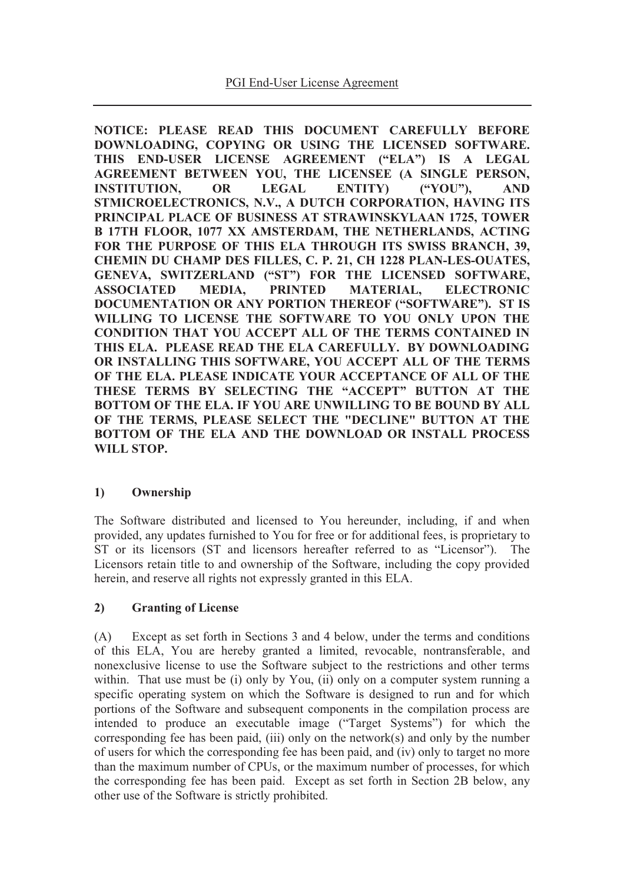**NOTICE: PLEASE READ THIS DOCUMENT CAREFULLY BEFORE DOWNLOADING, COPYING OR USING THE LICENSED SOFTWARE. THIS END-USER LICENSE AGREEMENT ("ELA") IS A LEGAL AGREEMENT BETWEEN YOU, THE LICENSEE (A SINGLE PERSON, INSTITUTION, OR LEGAL ENTITY) ("YOU"), AND STMICROELECTRONICS, N.V., A DUTCH CORPORATION, HAVING ITS PRINCIPAL PLACE OF BUSINESS AT STRAWINSKYLAAN 1725, TOWER B 17TH FLOOR, 1077 XX AMSTERDAM, THE NETHERLANDS, ACTING FOR THE PURPOSE OF THIS ELA THROUGH ITS SWISS BRANCH, 39, CHEMIN DU CHAMP DES FILLES, C. P. 21, CH 1228 PLAN-LES-OUATES, GENEVA, SWITZERLAND ("ST") FOR THE LICENSED SOFTWARE, ASSOCIATED MEDIA, PRINTED MATERIAL, ELECTRONIC DOCUMENTATION OR ANY PORTION THEREOF ("SOFTWARE"). ST IS WILLING TO LICENSE THE SOFTWARE TO YOU ONLY UPON THE CONDITION THAT YOU ACCEPT ALL OF THE TERMS CONTAINED IN THIS ELA. PLEASE READ THE ELA CAREFULLY. BY DOWNLOADING OR INSTALLING THIS SOFTWARE, YOU ACCEPT ALL OF THE TERMS OF THE ELA. PLEASE INDICATE YOUR ACCEPTANCE OF ALL OF THE THESE TERMS BY SELECTING THE "ACCEPT" BUTTON AT THE BOTTOM OF THE ELA. IF YOU ARE UNWILLING TO BE BOUND BY ALL OF THE TERMS, PLEASE SELECT THE "DECLINE" BUTTON AT THE BOTTOM OF THE ELA AND THE DOWNLOAD OR INSTALL PROCESS WILL STOP.** 

### **1) Ownership**

The Software distributed and licensed to You hereunder, including, if and when provided, any updates furnished to You for free or for additional fees, is proprietary to ST or its licensors (ST and licensors hereafter referred to as "Licensor"). The Licensors retain title to and ownership of the Software, including the copy provided herein, and reserve all rights not expressly granted in this ELA.

### **2) Granting of License**

(A) Except as set forth in Sections 3 and 4 below, under the terms and conditions of this ELA, You are hereby granted a limited, revocable, nontransferable, and nonexclusive license to use the Software subject to the restrictions and other terms within. That use must be (i) only by You, (ii) only on a computer system running a specific operating system on which the Software is designed to run and for which portions of the Software and subsequent components in the compilation process are intended to produce an executable image ("Target Systems") for which the corresponding fee has been paid, (iii) only on the network(s) and only by the number of users for which the corresponding fee has been paid, and (iv) only to target no more than the maximum number of CPUs, or the maximum number of processes, for which the corresponding fee has been paid. Except as set forth in Section 2B below, any other use of the Software is strictly prohibited.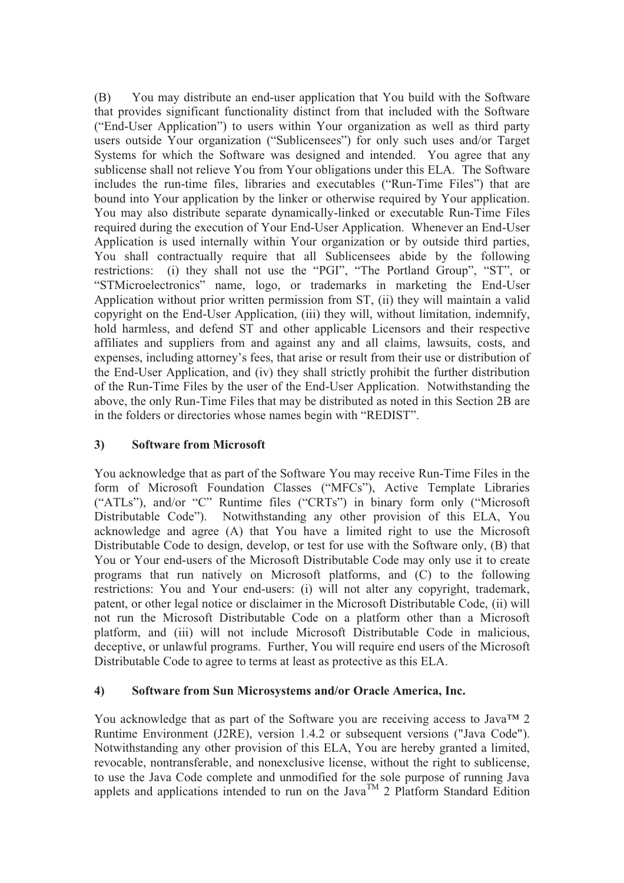(B) You may distribute an end-user application that You build with the Software that provides significant functionality distinct from that included with the Software ("End-User Application") to users within Your organization as well as third party users outside Your organization ("Sublicensees") for only such uses and/or Target Systems for which the Software was designed and intended. You agree that any sublicense shall not relieve You from Your obligations under this ELA. The Software includes the run-time files, libraries and executables ("Run-Time Files") that are bound into Your application by the linker or otherwise required by Your application. You may also distribute separate dynamically-linked or executable Run-Time Files required during the execution of Your End-User Application. Whenever an End-User Application is used internally within Your organization or by outside third parties, You shall contractually require that all Sublicensees abide by the following restrictions: (i) they shall not use the "PGI", "The Portland Group", "ST", or "STMicroelectronics" name, logo, or trademarks in marketing the End-User Application without prior written permission from ST, (ii) they will maintain a valid copyright on the End-User Application, (iii) they will, without limitation, indemnify, hold harmless, and defend ST and other applicable Licensors and their respective affiliates and suppliers from and against any and all claims, lawsuits, costs, and expenses, including attorney's fees, that arise or result from their use or distribution of the End-User Application, and (iv) they shall strictly prohibit the further distribution of the Run-Time Files by the user of the End-User Application. Notwithstanding the above, the only Run-Time Files that may be distributed as noted in this Section 2B are in the folders or directories whose names begin with "REDIST".

### **3) Software from Microsoft**

You acknowledge that as part of the Software You may receive Run-Time Files in the form of Microsoft Foundation Classes ("MFCs"), Active Template Libraries ("ATLs"), and/or "C" Runtime files ("CRTs") in binary form only ("Microsoft Distributable Code"). Notwithstanding any other provision of this ELA, You acknowledge and agree (A) that You have a limited right to use the Microsoft Distributable Code to design, develop, or test for use with the Software only, (B) that You or Your end-users of the Microsoft Distributable Code may only use it to create programs that run natively on Microsoft platforms, and (C) to the following restrictions: You and Your end-users: (i) will not alter any copyright, trademark, patent, or other legal notice or disclaimer in the Microsoft Distributable Code, (ii) will not run the Microsoft Distributable Code on a platform other than a Microsoft platform, and (iii) will not include Microsoft Distributable Code in malicious, deceptive, or unlawful programs. Further, You will require end users of the Microsoft Distributable Code to agree to terms at least as protective as this ELA.

#### **4) Software from Sun Microsystems and/or Oracle America, Inc.**

You acknowledge that as part of the Software you are receiving access to Java™ 2 Runtime Environment (J2RE), version 1.4.2 or subsequent versions ("Java Code"). Notwithstanding any other provision of this ELA, You are hereby granted a limited, revocable, nontransferable, and nonexclusive license, without the right to sublicense, to use the Java Code complete and unmodified for the sole purpose of running Java applets and applications intended to run on the Java<sup>TM</sup> 2 Platform Standard Edition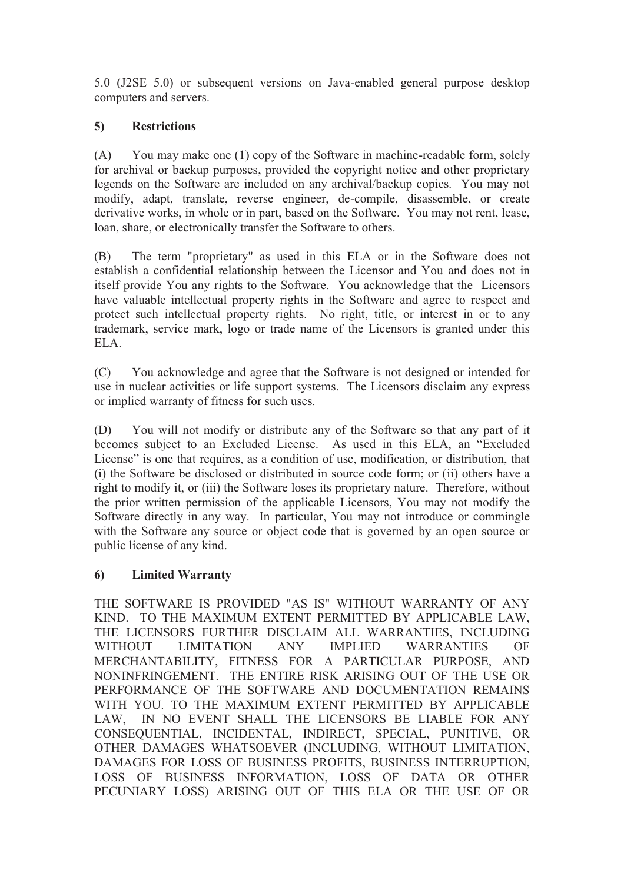5.0 (J2SE 5.0) or subsequent versions on Java-enabled general purpose desktop computers and servers.

## **5) Restrictions**

(A) You may make one (1) copy of the Software in machine-readable form, solely for archival or backup purposes, provided the copyright notice and other proprietary legends on the Software are included on any archival/backup copies. You may not modify, adapt, translate, reverse engineer, de-compile, disassemble, or create derivative works, in whole or in part, based on the Software. You may not rent, lease, loan, share, or electronically transfer the Software to others.

(B) The term "proprietary" as used in this ELA or in the Software does not establish a confidential relationship between the Licensor and You and does not in itself provide You any rights to the Software. You acknowledge that the Licensors have valuable intellectual property rights in the Software and agree to respect and protect such intellectual property rights. No right, title, or interest in or to any trademark, service mark, logo or trade name of the Licensors is granted under this ELA.

(C) You acknowledge and agree that the Software is not designed or intended for use in nuclear activities or life support systems. The Licensors disclaim any express or implied warranty of fitness for such uses.

(D) You will not modify or distribute any of the Software so that any part of it becomes subject to an Excluded License. As used in this ELA, an "Excluded License" is one that requires, as a condition of use, modification, or distribution, that (i) the Software be disclosed or distributed in source code form; or (ii) others have a right to modify it, or (iii) the Software loses its proprietary nature. Therefore, without the prior written permission of the applicable Licensors, You may not modify the Software directly in any way. In particular, You may not introduce or commingle with the Software any source or object code that is governed by an open source or public license of any kind.

### **6) Limited Warranty**

THE SOFTWARE IS PROVIDED "AS IS" WITHOUT WARRANTY OF ANY KIND. TO THE MAXIMUM EXTENT PERMITTED BY APPLICABLE LAW, THE LICENSORS FURTHER DISCLAIM ALL WARRANTIES, INCLUDING WITHOUT LIMITATION ANY IMPLIED WARRANTIES OF MERCHANTABILITY, FITNESS FOR A PARTICULAR PURPOSE, AND NONINFRINGEMENT. THE ENTIRE RISK ARISING OUT OF THE USE OR PERFORMANCE OF THE SOFTWARE AND DOCUMENTATION REMAINS WITH YOU. TO THE MAXIMUM EXTENT PERMITTED BY APPLICABLE LAW, IN NO EVENT SHALL THE LICENSORS BE LIABLE FOR ANY CONSEQUENTIAL, INCIDENTAL, INDIRECT, SPECIAL, PUNITIVE, OR OTHER DAMAGES WHATSOEVER (INCLUDING, WITHOUT LIMITATION, DAMAGES FOR LOSS OF BUSINESS PROFITS, BUSINESS INTERRUPTION, LOSS OF BUSINESS INFORMATION, LOSS OF DATA OR OTHER PECUNIARY LOSS) ARISING OUT OF THIS ELA OR THE USE OF OR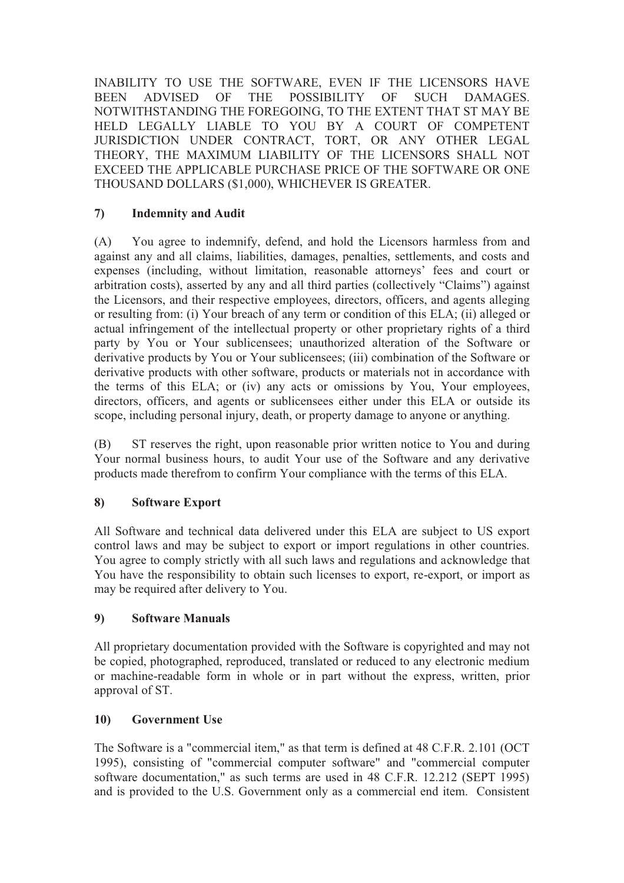INABILITY TO USE THE SOFTWARE, EVEN IF THE LICENSORS HAVE BEEN ADVISED OF THE POSSIBILITY OF SUCH DAMAGES. NOTWITHSTANDING THE FOREGOING, TO THE EXTENT THAT ST MAY BE HELD LEGALLY LIABLE TO YOU BY A COURT OF COMPETENT JURISDICTION UNDER CONTRACT, TORT, OR ANY OTHER LEGAL THEORY, THE MAXIMUM LIABILITY OF THE LICENSORS SHALL NOT EXCEED THE APPLICABLE PURCHASE PRICE OF THE SOFTWARE OR ONE THOUSAND DOLLARS (\$1,000), WHICHEVER IS GREATER.

## **7) Indemnity and Audit**

(A) You agree to indemnify, defend, and hold the Licensors harmless from and against any and all claims, liabilities, damages, penalties, settlements, and costs and expenses (including, without limitation, reasonable attorneys' fees and court or arbitration costs), asserted by any and all third parties (collectively "Claims") against the Licensors, and their respective employees, directors, officers, and agents alleging or resulting from: (i) Your breach of any term or condition of this ELA; (ii) alleged or actual infringement of the intellectual property or other proprietary rights of a third party by You or Your sublicensees; unauthorized alteration of the Software or derivative products by You or Your sublicensees; (iii) combination of the Software or derivative products with other software, products or materials not in accordance with the terms of this ELA; or (iv) any acts or omissions by You, Your employees, directors, officers, and agents or sublicensees either under this ELA or outside its scope, including personal injury, death, or property damage to anyone or anything.

(B) ST reserves the right, upon reasonable prior written notice to You and during Your normal business hours, to audit Your use of the Software and any derivative products made therefrom to confirm Your compliance with the terms of this ELA.

# **8) Software Export**

All Software and technical data delivered under this ELA are subject to US export control laws and may be subject to export or import regulations in other countries. You agree to comply strictly with all such laws and regulations and acknowledge that You have the responsibility to obtain such licenses to export, re-export, or import as may be required after delivery to You.

### **9) Software Manuals**

All proprietary documentation provided with the Software is copyrighted and may not be copied, photographed, reproduced, translated or reduced to any electronic medium or machine-readable form in whole or in part without the express, written, prior approval of ST.

### **10) Government Use**

The Software is a "commercial item," as that term is defined at 48 C.F.R. 2.101 (OCT 1995), consisting of "commercial computer software" and "commercial computer software documentation," as such terms are used in 48 C.F.R. 12.212 (SEPT 1995) and is provided to the U.S. Government only as a commercial end item. Consistent